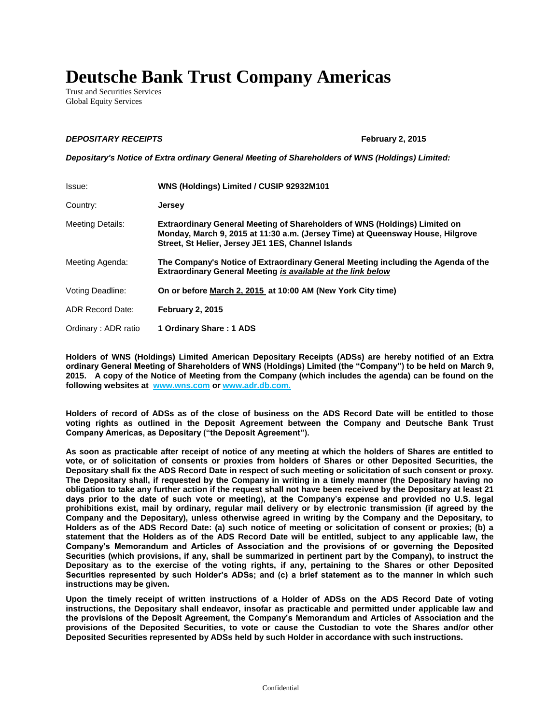## **Deutsche Bank Trust Company Americas**

Trust and Securities Services Global Equity Services

## *DEPOSITARY RECEIPTS* **February 2, 2015**

*Depositary's Notice of Extra ordinary General Meeting of Shareholders of WNS (Holdings) Limited:*

| Issue:                  | WNS (Holdings) Limited / CUSIP 92932M101                                                                                                                                                                                  |
|-------------------------|---------------------------------------------------------------------------------------------------------------------------------------------------------------------------------------------------------------------------|
| Country:                | Jersey                                                                                                                                                                                                                    |
| <b>Meeting Details:</b> | <b>Extraordinary General Meeting of Shareholders of WNS (Holdings) Limited on</b><br>Monday, March 9, 2015 at 11:30 a.m. (Jersey Time) at Queensway House, Hilgrove<br>Street, St Helier, Jersey JE1 1ES, Channel Islands |
| Meeting Agenda:         | The Company's Notice of Extraordinary General Meeting including the Agenda of the<br><b>Extraordinary General Meeting is available at the link below</b>                                                                  |
| Voting Deadline:        | On or before March 2, 2015 at 10:00 AM (New York City time)                                                                                                                                                               |
| ADR Record Date:        | <b>February 2, 2015</b>                                                                                                                                                                                                   |
| Ordinary: ADR ratio     | 1 Ordinary Share: 1 ADS                                                                                                                                                                                                   |

**Holders of WNS (Holdings) Limited American Depositary Receipts (ADSs) are hereby notified of an Extra ordinary General Meeting of Shareholders of WNS (Holdings) Limited (the "Company") to be held on March 9, 2015. A copy of the Notice of Meeting from the Company (which includes the agenda) can be found on the following websites at [www.wns.com](http://www.wns.com/) or www.adr.db.com.**

**Holders of record of ADSs as of the close of business on the ADS Record Date will be entitled to those voting rights as outlined in the Deposit Agreement between the Company and Deutsche Bank Trust Company Americas, as Depositary ("the Deposit Agreement").**

**As soon as practicable after receipt of notice of any meeting at which the holders of Shares are entitled to vote, or of solicitation of consents or proxies from holders of Shares or other Deposited Securities, the Depositary shall fix the ADS Record Date in respect of such meeting or solicitation of such consent or proxy. The Depositary shall, if requested by the Company in writing in a timely manner (the Depositary having no obligation to take any further action if the request shall not have been received by the Depositary at least 21 days prior to the date of such vote or meeting), at the Company's expense and provided no U.S. legal prohibitions exist, mail by ordinary, regular mail delivery or by electronic transmission (if agreed by the Company and the Depositary), unless otherwise agreed in writing by the Company and the Depositary, to Holders as of the ADS Record Date: (a) such notice of meeting or solicitation of consent or proxies; (b) a statement that the Holders as of the ADS Record Date will be entitled, subject to any applicable law, the Company's Memorandum and Articles of Association and the provisions of or governing the Deposited Securities (which provisions, if any, shall be summarized in pertinent part by the Company), to instruct the Depositary as to the exercise of the voting rights, if any, pertaining to the Shares or other Deposited Securities represented by such Holder's ADSs; and (c) a brief statement as to the manner in which such instructions may be given.** 

**Upon the timely receipt of written instructions of a Holder of ADSs on the ADS Record Date of voting instructions, the Depositary shall endeavor, insofar as practicable and permitted under applicable law and the provisions of the Deposit Agreement, the Company's Memorandum and Articles of Association and the provisions of the Deposited Securities, to vote or cause the Custodian to vote the Shares and/or other Deposited Securities represented by ADSs held by such Holder in accordance with such instructions.**